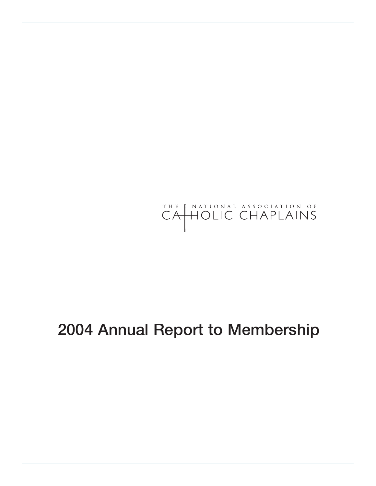# THE NATIONAL ASSOCIATION OF CAHOLIC CHAPLAINS

## **2004 Annual Report to Membership**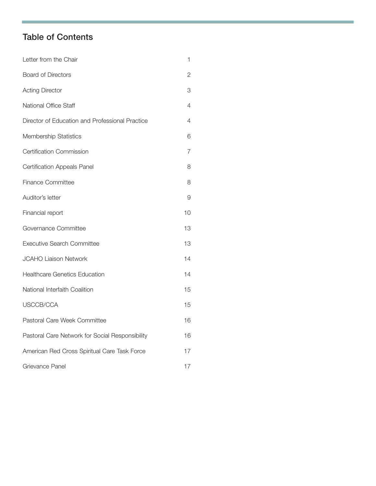## **Table of Contents**

| Letter from the Chair                           | 1  |
|-------------------------------------------------|----|
| <b>Board of Directors</b>                       | 2  |
| <b>Acting Director</b>                          | 3  |
| National Office Staff                           | 4  |
| Director of Education and Professional Practice | 4  |
| Membership Statistics                           | 6  |
| <b>Certification Commission</b>                 | 7  |
| <b>Certification Appeals Panel</b>              | 8  |
| Finance Committee                               | 8  |
| Auditor's letter                                | 9  |
| Financial report                                | 10 |
| Governance Committee                            | 13 |
| <b>Executive Search Committee</b>               | 13 |
| <b>JCAHO Liaison Network</b>                    | 14 |
| <b>Healthcare Genetics Education</b>            | 14 |
| National Interfaith Coalition                   | 15 |
| USCCB/CCA                                       | 15 |
| Pastoral Care Week Committee                    | 16 |
| Pastoral Care Network for Social Responsibility | 16 |
| American Red Cross Spiritual Care Task Force    | 17 |
| Grievance Panel                                 | 17 |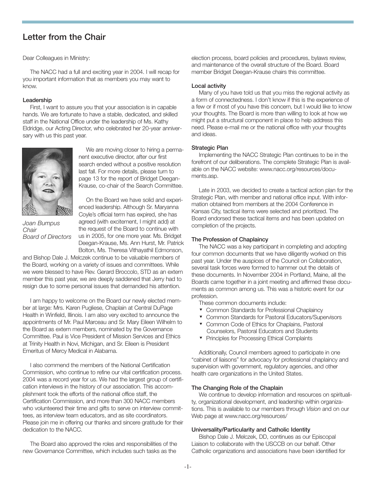## **Letter from the Chair**

Dear Colleagues in Ministry:

The NACC had a full and exciting year in 2004. I will recap for you important information that as members you may want to know.

#### **Leadership**

First, I want to assure you that your association is in capable hands. We are fortunate to have a stable, dedicated, and skilled staff in the National Office under the leadership of Ms. Kathy Eldridge, our Acting Director, who celebrated her 20-year anniversary with us this past year.



We are moving closer to hiring a permanent executive director, after our first search ended without a positive resolution last fall. For more details, please turn to page 13 for the report of Bridget Deegan-Krause, co-chair of the Search Committee.

*Joan Bumpus Chair Board of Directors*

On the Board we have solid and experienced leadership. Although Sr. Maryanna Coyle's official term has expired, she has agreed (with excitement, I might add) at the request of the Board to continue with us in 2005, for one more year. Ms. Bridget Deegan-Krause, Ms. Ann Hurst, Mr. Patrick Bolton, Ms. Theresa Vithayathil Edmonson,

and Bishop Dale J. Melczek continue to be valuable members of the Board, working on a variety of issues and committees. While we were blessed to have Rev. Gerard Broccolo, STD as an extern member this past year, we are deeply saddened that Jerry had to resign due to some personal issues that demanded his attention.

I am happy to welcome on the Board our newly elected member at large: Mrs. Karen Pugliese, Chaplain at Central DuPage Health in Winfield, Illinois. I am also very excited to announce the appointments of Mr. Paul Marceau and Sr. Mary Eileen Wilhelm to the Board as extern members, nominated by the Governance Committee. Paul is Vice President of Mission Services and Ethics at Trinity Health in Novi, Michigan, and Sr. Eileen is President Emeritus of Mercy Medical in Alabama.

I also commend the members of the National Certification Commission, who continue to refine our vital certification process. 2004 was a record year for us. We had the largest group of certification interviews in the history of our association. This accomplishment took the efforts of the national office staff, the Certification Commission, and more than 300 NACC members who volunteered their time and gifts to serve on interview committees, as interview team educators, and as site coordinators. Please join me in offering our thanks and sincere gratitude for their dedication to the NACC.

The Board also approved the roles and responsibilities of the new Governance Committee, which includes such tasks as the

election process, board policies and procedures, bylaws review, and maintenance of the overall structure of the Board. Board member Bridget Deegan-Krause chairs this committee.

#### **Local activity**

Many of you have told us that you miss the regional activity as a form of connectedness. I don't know if this is the experience of a few or if most of you have this concern, but I would like to know your thoughts. The Board is more than willing to look at how we might put a structural component in place to help address this need. Please e-mail me or the national office with your thoughts and ideas.

#### **Strategic Plan**

Implementing the NACC Strategic Plan continues to be in the forefront of our deliberations. The complete Strategic Plan is available on the NACC website: www.nacc.org/resources/documents.asp.

Late in 2003, we decided to create a tactical action plan for the Strategic Plan, with member and national office input. With information obtained from members at the 2004 Conference in Kansas City, tactical items were selected and prioritized. The Board endorsed these tactical items and has been updated on completion of the projects.

#### **The Profession of Chaplaincy**

The NACC was a key participant in completing and adopting four common documents that we have diligently worked on this past year. Under the auspices of the Council on Collaboration, several task forces were formed to hammer out the details of these documents. In November 2004 in Portland, Maine, all the Boards came together in a joint meeting and affirmed these documents as common among us. This was a historic event for our profession.

These common documents include:

- ▼ Common Standards for Professional Chaplaincy
- Common Standards for Pastoral Educators/Supervisors
- Common Code of Ethics for Chaplains, Pastoral Counselors, Pastoral Educators and Students
- ▼ Principles for Processing Ethical Complaints

Additionally, Council members agreed to participate in one "cabinet of liaisons" for advocacy for professional chaplaincy and supervision with government, regulatory agencies, and other health care organizations in the United States.

#### **The Changing Role of the Chaplain**

We continue to develop information and resources on spirituality, organizational development, and leadership within organizations. This is available to our members through *Vision* and on our Web page at www.nacc.org/resources/

#### **Universality/Particularity and Catholic Identity**

Bishop Dale J. Melczek, DD, continues as our Episcopal Liaison to collaborate with the USCCB on our behalf. Other Catholic organizations and associations have been identified for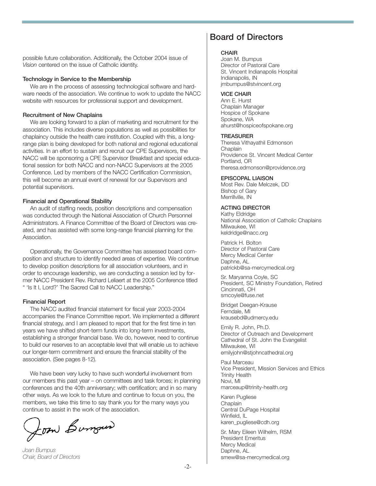possible future collaboration. Additionally, the October 2004 issue of *Vision* centered on the issue of Catholic identity.

#### **Technology in Service to the Membership**

We are in the process of assessing technological software and hardware needs of the association. We continue to work to update the NACC website with resources for professional support and development.

#### **Recruitment of New Chaplains**

We are looking forward to a plan of marketing and recruitment for the association. This includes diverse populations as well as possibilities for chaplaincy outside the health care institution. Coupled with this, a longrange plan is being developed for both national and regional educational activities. In an effort to sustain and recruit our CPE Supervisors, the NACC will be sponsoring a CPE Supervisor Breakfast and special educational session for both NACC and non-NACC Supervisors at the 2005 Conference. Led by members of the NACC Certification Commission, this will become an annual event of renewal for our Supervisors and potential supervisors.

#### **Financial and Operational Stability**

An audit of staffing needs, position descriptions and compensation was conducted through the National Association of Church Personnel Administrators. A Finance Committee of the Board of Directors was created, and has assisted with some long-range financial planning for the Association.

Operationally, the Governance Committee has assessed board composition and structure to identify needed areas of expertise. We continue to develop position descriptions for all association volunteers, and in order to encourage leadership, we are conducting a session led by former NACC President Rev. Richard Leliaert at the 2005 Conference titled " 'Is It I, Lord?' The Sacred Call to NACC Leadership."

#### **Financial Report**

The NACC audited financial statement for fiscal year 2003-2004 accompanies the Finance Committee report. We implemented a different financial strategy, and I am pleased to report that for the first time in ten years we have shifted short-term funds into long-term investments, establishing a stronger financial base. We do, however, need to continue to build our reserves to an acceptable level that will enable us to achieve our longer-term commitment and ensure the financial stability of the association. (See pages 8-12).

We have been very lucky to have such wonderful involvement from our members this past year – on committees and task forces; in planning conferences and the 40th anniversary; with certification; and in so many other ways. As we look to the future and continue to focus on you, the members, we take this time to say thank you for the many ways you continue to assist in the work of the association.

Joan Burgues

*Joan Bumpus Chair, Board of Directors*

## **Board of Directors**

#### **CHAIR**

Joan M. Bumpus Director of Pastoral Care St. Vincent Indianapolis Hospital Indianapolis, IN jmbumpus@stvincent.org

#### **VICE CHAIR**

Ann E. Hurst Chaplain Manager Hospice of Spokane Spokane, WA ahurst@hospiceofspokane.org

#### **TREASURER**

Theresa Vithayathil Edmonson **Chaplain** Providence St. Vincent Medical Center Portland, OR theresa.edmonson@providence.org

#### **EPISCOPAL LIAISON**

Most Rev. Dale Melczek, DD Bishop of Gary Merrillville, IN

#### **ACTING DIRECTOR**

Kathy Eldridge National Association of Catholic Chaplains Milwaukee, WI keldridge@nacc.org

Patrick H. Bolton Director of Pastoral Care Mercy Medical Center Daphne, AL patrickb@sa-mercymedical.org

Sr. Maryanna Coyle, SC President, SC Ministry Foundation, Retired Cincinnati, OH smcoyle@fuse.net

Bridget Deegan-Krause Ferndale, MI krausebd@udmercy.edu

Emily R. John, Ph.D. Director of Outreach and Development Cathedral of St. John the Evangelist Milwaukee, WI emilyjohn@stjohncathedral.org

Paul Marceau Vice President, Mission Services and Ethics Trinity Health Novi, MI marceaup@trinity-health.org

Karen Pugliese **Chaplain** Central DuPage Hospital Winfield, IL karen\_pugliese@cdh.org

Sr. Mary Eileen Wilhelm, RSM President Emeritus Mercy Medical Daphne, AL smew@sa-mercymedical.org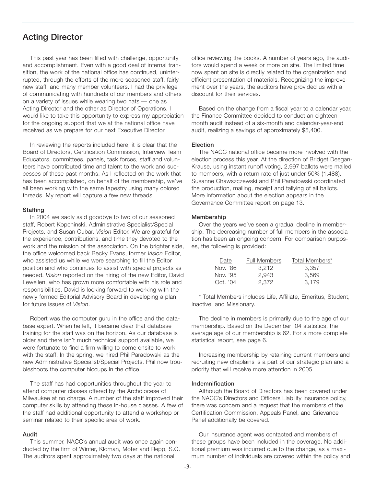## **Acting Director**

This past year has been filled with challenge, opportunity and accomplishment. Even with a good deal of internal transition, the work of the national office has continued, uninterrupted, through the efforts of the more seasoned staff, fairly new staff, and many member volunteers. I had the privilege of communicating with hundreds of our members and others on a variety of issues while wearing two hats — one as Acting Director and the other as Director of Operations. I would like to take this opportunity to express my appreciation for the ongoing support that we at the national office have received as we prepare for our next Executive Director.

In reviewing the reports included here, it is clear that the Board of Directors, Certification Commission, Interview Team Educators, committees, panels, task forces, staff and volunteers have contributed time and talent to the work and successes of these past months. As I reflected on the work that has been accomplished, on behalf of the membership, we've all been working with the same tapestry using many colored threads. My report will capture a few new threads.

#### **Staffing**

In 2004 we sadly said goodbye to two of our seasoned staff, Robert Kopchinski, Administrative Specialist/Special Projects, and Susan Cubar, *Vision* Editor. We are grateful for the experience, contributions, and time they devoted to the work and the mission of the association. On the brighter side, the office welcomed back Becky Evans, former *Vision* Editor, who assisted us while we were searching to fill the Editor position and who continues to assist with special projects as needed. *Vision* reported on the hiring of the new Editor, David Lewellen, who has grown more comfortable with his role and responsibilities. David is looking forward to working with the newly formed Editorial Advisory Board in developing a plan for future issues of *Vision*.

Robert was the computer guru in the office and the database expert. When he left, it became clear that database training for the staff was on the horizon. As our database is older and there isn't much technical support available, we were fortunate to find a firm willing to come onsite to work with the staff. In the spring, we hired Phil Paradowski as the new Administrative Specialist/Special Projects. Phil now troubleshoots the computer hiccups in the office.

The staff has had opportunities throughout the year to attend computer classes offered by the Archdiocese of Milwaukee at no charge. A number of the staff improved their computer skills by attending these in-house classes. A few of the staff had additional opportunity to attend a workshop or seminar related to their specific area of work.

#### **Audit**

This summer, NACC's annual audit was once again conducted by the firm of Winter, Kloman, Moter and Repp, S.C. The auditors spent approximately two days at the national

office reviewing the books. A number of years ago, the auditors would spend a week or more on site. The limited time now spent on site is directly related to the organization and efficient presentation of materials. Recognizing the improvement over the years, the auditors have provided us with a discount for their services.

Based on the change from a fiscal year to a calendar year, the Finance Committee decided to conduct an eighteenmonth audit instead of a six-month and calendar-year-end audit, realizing a savings of approximately \$5,400.

#### **Election**

The NACC national office became more involved with the election process this year. At the direction of Bridget Deegan-Krause, using instant runoff voting, 2,997 ballots were mailed to members, with a return rate of just under 50% (1,488). Susanne Chawszczewski and Phil Paradowski coordinated the production, mailing, receipt and tallying of all ballots. More information about the election appears in the Governance Committee report on page 13.

#### **Membership**

Over the years we've seen a gradual decline in membership. The decreasing number of full members in the association has been an ongoing concern. For comparison purposes, the following is provided:

| Date     | <b>Full Members</b> | Total Members* |
|----------|---------------------|----------------|
| Nov. '86 | 3.212               | 3.357          |
| Nov. '95 | 2.943               | 3.569          |
| Oct. '04 | 2.372               | 3.179          |

\* Total Members includes Life, Affiliate, Emeritus, Student, Inactive, and Missionary.

The decline in members is primarily due to the age of our membership. Based on the December '04 statistics, the average age of our membership is 62. For a more complete statistical report, see page 6.

Increasing membership by retaining current members and recruiting new chaplains is a part of our strategic plan and a priority that will receive more attention in 2005.

#### **Indemnification**

Although the Board of Directors has been covered under the NACC's Directors and Officers Liability Insurance policy, there was concern and a request that the members of the Certification Commission, Appeals Panel, and Grievance Panel additionally be covered.

Our insurance agent was contacted and members of these groups have been included in the coverage. No additional premium was incurred due to the change, as a maximum number of individuals are covered within the policy and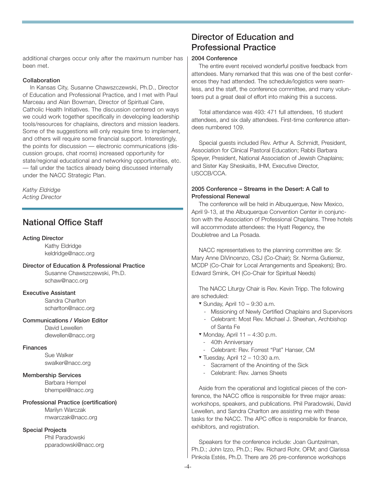additional charges occur only after the maximum number has been met.

#### **Collaboration**

In Kansas City, Susanne Chawszczewski, Ph.D., Director of Education and Professional Practice, and I met with Paul Marceau and Alan Bowman, Director of Spiritual Care, Catholic Health Initiatives. The discussion centered on ways we could work together specifically in developing leadership tools/resources for chaplains, directors and mission leaders. Some of the suggestions will only require time to implement, and others will require some financial support. Interestingly, the points for discussion — electronic communications (discussion groups, chat rooms) increased opportunity for state/regional educational and networking opportunities, etc. — fall under the tactics already being discussed internally under the NACC Strategic Plan.

*Kathy Eldridge Acting Director*

## **National Office Staff**

#### **Acting Director**

Kathy Eldridge keldridge@nacc.org

#### **Director of Education & Professional Practice**

Susanne Chawszczewski, Ph.D. schaw@nacc.org

#### **Executive Assistant**

Sandra Charlton scharlton@nacc.org

#### **Communications /** *Vision* **Editor**

David Lewellen dlewellen@nacc.org

#### **Finances**

Sue Walker swalker@nacc.org

#### **Membership Services**

Barbara Hempel bhempel@nacc.org

#### **Professional Practice (certification)**

Marilyn Warczak mwarczak@nacc.org

#### **Special Projects**

Phil Paradowski pparadowski@nacc.org

## **Director of Education and Professional Practice**

#### **2004 Conference**

The entire event received wonderful positive feedback from attendees. Many remarked that this was one of the best conferences they had attended. The schedule/logistics were seamless, and the staff, the conference committee, and many volunteers put a great deal of effort into making this a success.

Total attendance was 493: 471 full attendees, 16 student attendees, and six daily attendees. First-time conference attendees numbered 109.

Special guests included Rev. Arthur A. Schmidt, President, Association for Clinical Pastoral Education; Rabbi Barbara Speyer, President, National Association of Jewish Chaplains; and Sister Kay Sheskaitis, IHM, Executive Director, USCCB/CCA.

#### **2005 Conference – Streams in the Desert: A Call to Professional Renewal**

The conference will be held in Albuquerque, New Mexico, April 9-13, at the Albuquerque Convention Center in conjunction with the Association of Professional Chaplains. Three hotels will accommodate attendees: the Hyatt Regency, the Doubletree and La Posada.

NACC representatives to the planning committee are: Sr. Mary Anne DiVincenzo, CSJ (Co-Chair); Sr. Norma Gutierrez, MCDP (Co-Chair for Local Arrangements and Speakers); Bro. Edward Smink, OH (Co-Chair for Spiritual Needs)

The NACC Liturgy Chair is Rev. Kevin Tripp. The following are scheduled:

- ▼ Sunday, April 10 9:30 a.m.
	- Missioning of Newly Certified Chaplains and Supervisors
	- Celebrant: Most Rev. Michael J. Sheehan, Archbishop of Santa Fe
- $\blacktriangledown$  Monday, April 11 4:30 p.m.
	- 40th Anniversary
	- Celebrant: Rev. Forrest "Pat" Hanser, CM
- $\blacktriangledown$  Tuesday, April 12 10:30 a.m.
- Sacrament of the Anointing of the Sick
- Celebrant: Rev. James Sheets

Aside from the operational and logistical pieces of the conference, the NACC office is responsible for three major areas: workshops, speakers, and publications. Phil Paradowski, David Lewellen, and Sandra Charlton are assisting me with these tasks for the NACC. The APC office is responsible for finance, exhibitors, and registration.

Speakers for the conference include: Joan Guntzelman, Ph.D.; John Izzo, Ph.D.; Rev. Richard Rohr, OFM; and Clarissa Pinkola Estés, Ph.D. There are 26 pre-conference workshops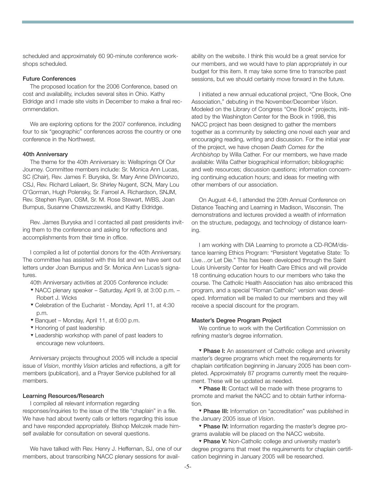scheduled and approximately 60 90-minute conference workshops scheduled.

#### **Future Conferences**

The proposed location for the 2006 Conference, based on cost and availability, includes several sites in Ohio. Kathy Eldridge and I made site visits in December to make a final recommendation.

We are exploring options for the 2007 conference, including four to six "geographic" conferences across the country or one conference in the Northwest.

#### **40th Anniversary**

The theme for the 40th Anniversary is: Wellsprings Of Our Journey. Committee members include: Sr. Monica Ann Lucas, SC (Chair), Rev. James F. Buryska, Sr. Mary Anne DiVincenzo, CSJ, Rev. Richard Leliaert, Sr. Shirley Nugent, SCN, Mary Lou O'Gorman, Hugh Polensky, Sr. Farroel A. Richardson, SNJM, Rev. Stephen Ryan, OSM, Sr. M. Rose Stewart, IWBS, Joan Bumpus, Susanne Chawszczewski, and Kathy Eldridge.

Rev. James Buryska and I contacted all past presidents inviting them to the conference and asking for reflections and accomplishments from their time in office.

I compiled a list of potential donors for the 40th Anniversary. The committee has assisted with this list and we have sent out letters under Joan Bumpus and Sr. Monica Ann Lucas's signatures.

40th Anniversary activities at 2005 Conference include:

- ▼ NACC plenary speaker Saturday, April 9, at 3:00 p.m. Robert J. Wicks
- ▼ Celebration of the Eucharist Monday, April 11, at 4:30 p.m.
- ▼ Banquet Monday, April 11, at 6:00 p.m.
- ▼ Honoring of past leadership
- ▼ Leadership workshop with panel of past leaders to encourage new volunteers.

Anniversary projects throughout 2005 will include a special issue of *Vision*, monthly *Vision* articles and reflections, a gift for members (publication), and a Prayer Service published for all members.

#### **Learning Resources/Research**

I compiled all relevant information regarding

responses/inquiries to the issue of the title "chaplain" in a file. We have had about twenty calls or letters regarding this issue and have responded appropriately. Bishop Melczek made himself available for consultation on several questions.

We have talked with Rev. Henry J. Heffernan, SJ, one of our members, about transcribing NACC plenary sessions for availability on the website. I think this would be a great service for our members, and we would have to plan appropriately in our budget for this item. It may take some time to transcribe past sessions, but we should certainly move forward in the future.

I initiated a new annual educational project, "One Book, One Association," debuting in the November/December *Vision*. Modeled on the Library of Congress "One Book" projects, initiated by the Washington Center for the Book in 1998, this NACC project has been designed to gather the members together as a community by selecting one novel each year and encouraging reading, writing and discussion. For the initial year of the project, we have chosen *Death Comes for the Archbishop* by Willa Cather. For our members, we have made available: Willa Cather biographical information; bibliographic and web resources; discussion questions; information concerning continuing education hours; and ideas for meeting with other members of our association.

On August 4-6, I attended the 20th Annual Conference on Distance Teaching and Learning in Madison, Wisconsin. The demonstrations and lectures provided a wealth of information on the structure, pedagogy, and technology of distance learning.

I am working with DIA Learning to promote a CD-ROM/distance learning Ethics Program: "Persistent Vegetative State: To Live…or Let Die." This has been developed through the Saint Louis University Center for Health Care Ethics and will provide 18 continuing education hours to our members who take the course. The Catholic Health Association has also embraced this program, and a special "Roman Catholic" version was developed. Information will be mailed to our members and they will receive a special discount for the program.

#### **Master's Degree Program Project**

We continue to work with the Certification Commission on refining master's degree information.

▼ **Phase I:** An assessment of Catholic college and university master's degree programs which meet the requirements for chaplain certification beginning in January 2005 has been completed. Approximately 87 programs currently meet the requirement. These will be updated as needed.

▼ **Phase II:** Contact will be made with these programs to promote and market the NACC and to obtain further information.

▼ **Phase III:** Information on "accreditation" was published in the January 2005 issue of *Vision*.

▼ **Phase IV:** Information regarding the master's degree programs available will be placed on the NACC website.

▼ **Phase V:** Non-Catholic college and university master's degree programs that meet the requirements for chaplain certification beginning in January 2005 will be researched.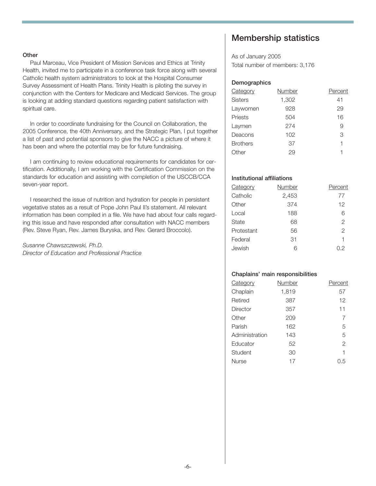#### **Other**

Paul Marceau, Vice President of Mission Services and Ethics at Trinity Health, invited me to participate in a conference task force along with several Catholic health system administrators to look at the Hospital Consumer Survey Assessment of Health Plans. Trinity Health is piloting the survey in conjunction with the Centers for Medicare and Medicaid Services. The group is looking at adding standard questions regarding patient satisfaction with spiritual care.

In order to coordinate fundraising for the Council on Collaboration, the 2005 Conference, the 40th Anniversary, and the Strategic Plan, I put together a list of past and potential sponsors to give the NACC a picture of where it has been and where the potential may be for future fundraising.

I am continuing to review educational requirements for candidates for certification. Additionally, I am working with the Certification Commission on the standards for education and assisting with completion of the USCCB/CCA seven-year report.

I researched the issue of nutrition and hydration for people in persistent vegetative states as a result of Pope John Paul II's statement. All relevant information has been compiled in a file. We have had about four calls regarding this issue and have responded after consultation with NACC members (Rev. Steve Ryan, Rev. James Buryska, and Rev. Gerard Broccolo).

*Susanne Chawszczewski, Ph.D. Director of Education and Professional Practice*

## **Membership statistics**

As of January 2005 Total number of members: 3,176

#### **Demographics**

| Category        | Number | Percent |
|-----------------|--------|---------|
| <b>Sisters</b>  | 1,302  | 41      |
| Laywomen        | 928    | 29      |
| Priests         | 504    | 16      |
| Laymen          | 274    | 9       |
| Deacons         | 102    | 3       |
| <b>Brothers</b> | 37     | 1       |
| Other           | 29     | 1       |
|                 |        |         |

#### **Institutional affiliations**

| Category     | Number | Percent |
|--------------|--------|---------|
| Catholic     | 2,453  | 77      |
| Other        | 374    | 12      |
| Local        | 188    | 6       |
| <b>State</b> | 68     | 2       |
| Protestant   | 56     | 2       |
| Federal      | 31     | 1       |
| Jewish       | հ      | 0.2     |

#### **Chaplains' main responsibilities**

| Category        | Number | Percent        |
|-----------------|--------|----------------|
| Chaplain        | 1,819  | 57             |
| Retired         | 387    | 12             |
| <b>Director</b> | 357    | 11             |
| Other           | 209    | 7              |
| Parish          | 162    | 5              |
| Administration  | 143    | 5              |
| Educator        | 52     | $\overline{2}$ |
| Student         | 30     | 1              |
| <b>Nurse</b>    | 17     | 0.5            |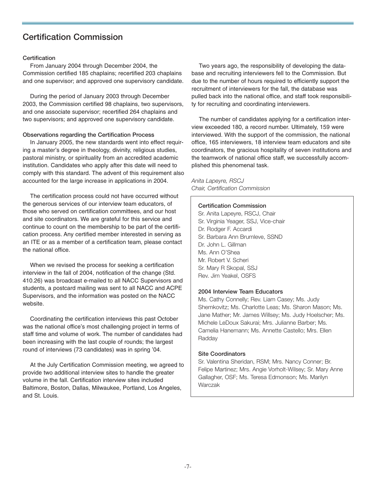## **Certification Commission**

#### **Certification**

From January 2004 through December 2004, the Commission certified 185 chaplains; recertified 203 chaplains and one supervisor; and approved one supervisory candidate.

During the period of January 2003 through December 2003, the Commission certified 98 chaplains, two supervisors, and one associate supervisor; recertified 264 chaplains and two supervisors; and approved one supervisory candidate.

#### **Observations regarding the Certification Process**

In January 2005, the new standards went into effect requiring a master's degree in theology, divinity, religious studies, pastoral ministry, or spirituality from an accredited academic institution. Candidates who apply after this date will need to comply with this standard. The advent of this requirement also accounted for the large increase in applications in 2004.

The certification process could not have occurred without the generous services of our interview team educators, of those who served on certification committees, and our host and site coordinators. We are grateful for this service and continue to count on the membership to be part of the certification process. Any certified member interested in serving as an ITE or as a member of a certification team, please contact the national office.

When we revised the process for seeking a certification interview in the fall of 2004, notification of the change (Std. 410.26) was broadcast e-mailed to all NACC Supervisors and students, a postcard mailing was sent to all NACC and ACPE Supervisors, and the information was posted on the NACC website.

Coordinating the certification interviews this past October was the national office's most challenging project in terms of staff time and volume of work. The number of candidates had been increasing with the last couple of rounds; the largest round of interviews (73 candidates) was in spring '04.

At the July Certification Commission meeting, we agreed to provide two additional interview sites to handle the greater volume in the fall. Certification interview sites included Baltimore, Boston, Dallas, Milwaukee, Portland, Los Angeles, and St. Louis.

Two years ago, the responsibility of developing the database and recruiting interviewers fell to the Commission. But due to the number of hours required to efficiently support the recruitment of interviewers for the fall, the database was pulled back into the national office, and staff took responsibility for recruiting and coordinating interviewers.

The number of candidates applying for a certification interview exceeded 180, a record number. Ultimately, 159 were interviewed. With the support of the commission, the national office, 165 interviewers, 18 interview team educators and site coordinators, the gracious hospitality of seven institutions and the teamwork of national office staff, we successfully accomplished this phenomenal task.

*Anita Lapeyre, RSCJ Chair, Certification Commission*

#### **Certification Commission**

Sr. Anita Lapeyre, RSCJ, Chair Sr. Virginia Yeager, SSJ, Vice-chair Dr. Rodger F. Accardi Sr. Barbara Ann Brumleve, SSND Dr. John L. Gillman Ms. Ann O'Shea Mr. Robert V. Scheri Sr. Mary R Skopal, SSJ Rev. Jim Yeakel, OSFS

#### **2004 Interview Team Educators**

Ms. Cathy Connelly; Rev. Liam Casey; Ms. Judy Shemkovitz; Ms. Charlotte Leas; Ms. Sharon Mason; Ms. Jane Mather; Mr. James Willsey; Ms. Judy Hoelscher; Ms. Michele LeDoux Sakurai; Mrs. Julianne Barber; Ms. Camelia Hanemann; Ms. Annette Castello; Mrs. Ellen Radday

#### **Site Coordinators**

Sr. Valentina Sheridan, RSM; Mrs. Nancy Conner; Br. Felipe Martinez; Mrs. Angie Vorholt-Wilsey; Sr. Mary Anne Gallagher, OSF; Ms. Teresa Edmonson; Ms. Marilyn Warczak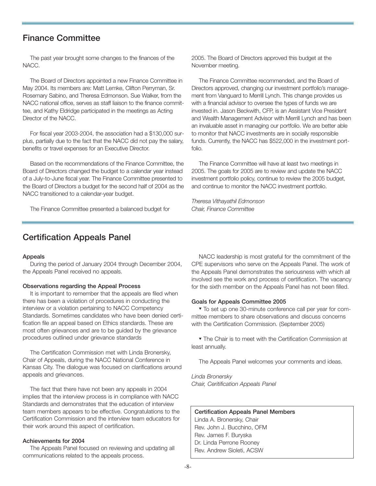## **Finance Committee**

The past year brought some changes to the finances of the NACC.

The Board of Directors appointed a new Finance Committee in May 2004. Its members are: Matt Lemke, Clifton Perryman, Sr. Rosemary Sabino, and Theresa Edmonson. Sue Walker, from the NACC national office, serves as staff liaison to the finance committee, and Kathy Eldridge participated in the meetings as Acting Director of the NACC.

For fiscal year 2003-2004, the association had a \$130,000 surplus, partially due to the fact that the NACC did not pay the salary, benefits or travel expenses for an Executive Director.

Based on the recommendations of the Finance Committee, the Board of Directors changed the budget to a calendar year instead of a July-to-June fiscal year. The Finance Committee presented to the Board of Directors a budget for the second half of 2004 as the NACC transitioned to a calendar-year budget.

The Finance Committee presented a balanced budget for

2005. The Board of Directors approved this budget at the November meeting.

The Finance Committee recommended, and the Board of Directors approved, changing our investment portfolio's management from Vanguard to Merrill Lynch. This change provides us with a financial advisor to oversee the types of funds we are invested in. Jason Beckwith, CFP, is an Assistant Vice President and Wealth Management Advisor with Merrill Lynch and has been an invaluable asset in managing our portfolio. We are better able to monitor that NACC investments are in socially responsible funds. Currently, the NACC has \$522,000 in the investment portfolio.

The Finance Committee will have at least two meetings in 2005. The goals for 2005 are to review and update the NACC investment portfolio policy, continue to review the 2005 budget, and continue to monitor the NACC investment portfolio.

*Theresa Vithayathil Edmonson Chair, Finance Committee*

## **Certification Appeals Panel**

#### **Appeals**

During the period of January 2004 through December 2004, the Appeals Panel received no appeals.

#### **Observations regarding the Appeal Process**

It is important to remember that the appeals are filed when there has been a violation of procedures in conducting the interview or a violation pertaining to NACC Competency Standards. Sometimes candidates who have been denied certification file an appeal based on Ethics standards. These are most often grievances and are to be guided by the grievance procedures outlined under grievance standards

The Certification Commission met with Linda Bronersky, Chair of Appeals, during the NACC National Conference in Kansas City. The dialogue was focused on clarifications around appeals and grievances.

The fact that there have not been any appeals in 2004 implies that the interview process is in compliance with NACC Standards and demonstrates that the education of interview team members appears to be effective. Congratulations to the Certification Commission and the interview team educators for their work around this aspect of certification.

#### **Achievements for 2004**

The Appeals Panel focused on reviewing and updating all communications related to the appeals process.

NACC leadership is most grateful for the commitment of the CPE supervisors who serve on the Appeals Panel. The work of the Appeals Panel demonstrates the seriousness with which all involved see the work and process of certification. The vacancy for the sixth member on the Appeals Panel has not been filled.

#### **Goals for Appeals Committee 2005**

▼ To set up one 30-minute conference call per year for committee members to share observations and discuss concerns with the Certification Commission. (September 2005)

▼ The Chair is to meet with the Certification Commission at least annually.

The Appeals Panel welcomes your comments and ideas.

*Linda Bronersky Chair, Ceritification Appeals Panel*

#### **Certification Appeals Panel Members**

Linda A. Bronersky, Chair Rev. John J. Bucchino, OFM Rev. James F. Buryska Dr. Linda Perrone Rooney Rev. Andrew Sioleti, ACSW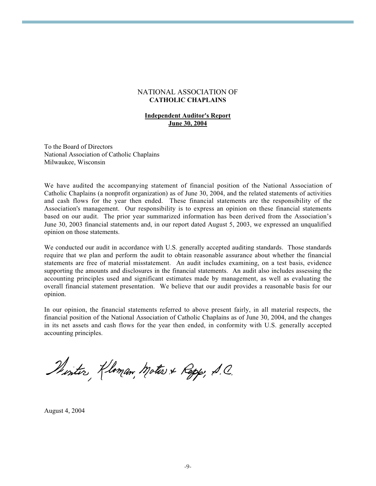#### NATIONAL ASSOCIATION OF CATHOLIC CHAPLAINS

#### Independent Auditor's Report June 30, 2004

To the Board of Directors National Association of Catholic Chaplains Milwaukee, Wisconsin

We have audited the accompanying statement of financial position of the National Association of Catholic Chaplains (a nonprofit organization) as of June 30, 2004, and the related statements of activities and cash flows for the year then ended. These financial statements are the responsibility of the Association's management. Our responsibility is to express an opinion on these financial statements based on our audit. The prior year summarized information has been derived from the Association's June 30, 2003 financial statements and, in our report dated August 5, 2003, we expressed an unqualified opinion on those statements.

We conducted our audit in accordance with U.S. generally accepted auditing standards. Those standards require that we plan and perform the audit to obtain reasonable assurance about whether the financial statements are free of material misstatement. An audit includes examining, on a test basis, evidence supporting the amounts and disclosures in the financial statements. An audit also includes assessing the accounting principles used and significant estimates made by management, as well as evaluating the overall financial statement presentation. We believe that our audit provides a reasonable basis for our opinion.

In our opinion, the financial statements referred to above present fairly, in all material respects, the financial position of the National Association of Catholic Chaplains as of June 30, 2004, and the changes in its net assets and cash flows for the year then ended, in conformity with U.S. generally accepted accounting principles.

Sinter Kloman, Motos & Repp, S.C.

August 4, 2004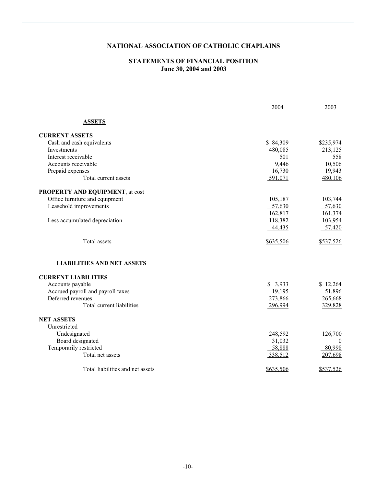## NATIONAL ASSOCIATION OF CATHOLIC CHAPLAINS

#### STATEMENTS OF FINANCIAL POSITION June 30, 2004 and 2003

|                                   | 2004      | 2003             |
|-----------------------------------|-----------|------------------|
| <b>ASSETS</b>                     |           |                  |
| <b>CURRENT ASSETS</b>             |           |                  |
| Cash and cash equivalents         | \$84,309  | \$235,974        |
| Investments                       | 480,085   | 213,125          |
| Interest receivable               | 501       | 558              |
| Accounts receivable               | 9,446     | 10,506           |
| Prepaid expenses                  | 16,730    | 19,943           |
| Total current assets              | 591,071   | 480,106          |
| PROPERTY AND EQUIPMENT, at cost   |           |                  |
| Office furniture and equipment    | 105,187   | 103,744          |
| Leasehold improvements            | 57,630    | 57,630           |
|                                   | 162,817   | 161,374          |
| Less accumulated depreciation     | 118,382   | 103,954          |
|                                   | 44,435    | 57,420           |
| <b>Total</b> assets               | \$635,506 | \$537,526        |
| <b>LIABILITIES AND NET ASSETS</b> |           |                  |
| <b>CURRENT LIABILITIES</b>        |           |                  |
| Accounts payable                  | \$3,933   | \$12,264         |
| Accrued payroll and payroll taxes | 19,195    | 51,896           |
| Deferred revenues                 | 273,866   | 265,668          |
| Total current liabilities         | 296,994   | 329,828          |
| <b>NET ASSETS</b>                 |           |                  |
| Unrestricted                      |           |                  |
| Undesignated                      | 248,592   | 126,700          |
| Board designated                  | 31,032    | $\boldsymbol{0}$ |
| Temporarily restricted            | 58,888    | 80,998           |
| Total net assets                  | 338,512   | 207,698          |
| Total liabilities and net assets  | \$635,506 | \$537,526        |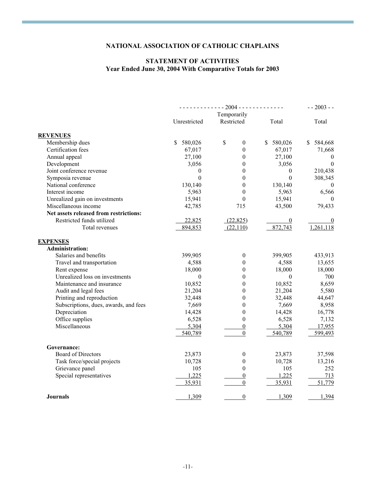## NATIONAL ASSOCIATION OF CATHOLIC CHAPLAINS

## STATEMENT OF ACTIVITIES Year Ended June 30, 2004 With Comparative Totals for 2003

|                                        | $--- 2004 --- 2004$ |                    | $- - 2003 - -$ |              |
|----------------------------------------|---------------------|--------------------|----------------|--------------|
|                                        |                     | Temporarily        |                |              |
|                                        | Unrestricted        | Restricted         | Total          | Total        |
| <b>REVENUES</b>                        |                     |                    |                |              |
| Membership dues                        | 580,026<br>\$.      | \$<br>$\mathbf{0}$ | \$<br>580,026  | \$584,668    |
| Certification fees                     | 67,017              | $\theta$           | 67,017         | 71,668       |
| Annual appeal                          | 27,100              | $\mathbf{0}$       | 27,100         | $\theta$     |
| Development                            | 3,056               | $\boldsymbol{0}$   | 3,056          | $\theta$     |
| Joint conference revenue               | $\mathbf{0}$        | $\mathbf{0}$       | $\mathbf{0}$   | 210,438      |
| Symposia revenue                       | $\theta$            | $\boldsymbol{0}$   | $\theta$       | 308,345      |
| National conference                    | 130,140             | $\mathbf{0}$       | 130,140        | $\theta$     |
| Interest income                        | 5,963               | $\boldsymbol{0}$   | 5,963          | 6,566        |
| Unrealized gain on investments         | 15,941              | $\boldsymbol{0}$   | 15,941         | $\mathbf{0}$ |
| Miscellaneous income                   | 42,785              | 715                | 43,500         | 79,433       |
| Net assets released from restrictions: |                     |                    |                |              |
| Restricted funds utilized              | 22,825              | (22, 825)          | $\overline{0}$ | $\bf{0}$     |
| Total revenues                         | 894,853             | (22,110)           | 872,743        | 1,261,118    |
| <b>EXPENSES</b>                        |                     |                    |                |              |
| <b>Administration:</b>                 |                     |                    |                |              |
| Salaries and benefits                  | 399,905             | $\boldsymbol{0}$   | 399,905        | 433,913      |
| Travel and transportation              | 4,588               | $\boldsymbol{0}$   | 4,588          | 13,655       |
| Rent expense                           | 18,000              | $\boldsymbol{0}$   | 18,000         | 18,000       |
| Unrealized loss on investments         | $\mathbf{0}$        | $\boldsymbol{0}$   | $\mathbf{0}$   | 700          |
| Maintenance and insurance              | 10,852              | $\theta$           | 10,852         | 8,659        |
| Audit and legal fees                   | 21,204              | $\boldsymbol{0}$   | 21,204         | 5,580        |
| Printing and reproduction              | 32,448              | $\mathbf{0}$       | 32,448         | 44,647       |
| Subscriptions, dues, awards, and fees  | 7,669               | $\mathbf{0}$       | 7,669          | 8,958        |
| Depreciation                           | 14,428              | $\boldsymbol{0}$   | 14,428         | 16,778       |
| Office supplies                        | 6,528               | $\boldsymbol{0}$   | 6,528          | 7,132        |
| Miscellaneous                          | 5,304               | $\boldsymbol{0}$   | 5,304          | 17,955       |
|                                        | 540,789             | $\boldsymbol{0}$   | 540,789        | 599,493      |
| Governance:                            |                     |                    |                |              |
| <b>Board of Directors</b>              | 23,873              | $\boldsymbol{0}$   | 23,873         | 37,598       |
| Task force/special projects            | 10,728              | $\boldsymbol{0}$   | 10,728         | 13,216       |
| Grievance panel                        | 105                 | $\boldsymbol{0}$   | 105            | 252          |
| Special representatives                | 1,225               | $\boldsymbol{0}$   | 1,225          | 713          |
|                                        | 35,931              | $\boldsymbol{0}$   | 35,931         | 51,779       |
| <b>Journals</b>                        | 1,309               | $\boldsymbol{0}$   | 1,309          | 1,394        |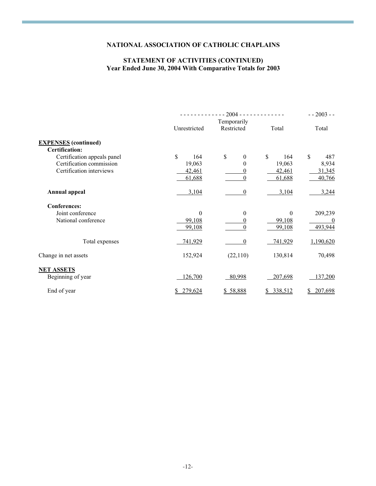## NATIONAL ASSOCIATION OF CATHOLIC CHAPLAINS

#### STATEMENT OF ACTIVITIES (CONTINUED) Year Ended June 30, 2004 With Comparative Totals for 2003

|                             | $-2004$ - - - - - - - - - - - - - |                           | $-2003 - -$   |                     |
|-----------------------------|-----------------------------------|---------------------------|---------------|---------------------|
|                             | Unrestricted                      | Temporarily<br>Restricted | Total         | Total               |
|                             |                                   |                           |               |                     |
| <b>EXPENSES</b> (continued) |                                   |                           |               |                     |
| Certification:              |                                   |                           |               |                     |
| Certification appeals panel | $\mathbf S$<br>164                | \$<br>$\theta$            | \$<br>164     | $\mathbb{S}$<br>487 |
| Certification commission    | 19,063                            | $\theta$                  | 19,063        | 8,934               |
| Certification interviews    | 42,461                            | 0                         | 42,461        | 31,345              |
|                             | 61,688                            | $\theta$                  | 61,688        | 40,766              |
| <b>Annual appeal</b>        | 3,104                             | $\theta$                  | 3,104         | 3,244               |
| <b>Conferences:</b>         |                                   |                           |               |                     |
| Joint conference            | $\theta$                          | $\mathbf{0}$              | $\theta$      | 209,239             |
| National conference         | 99,108                            | 0                         | 99,108        | 0                   |
|                             | 99,108                            | 0                         | 99,108        | 493,944             |
| Total expenses              | 741,929                           | $\theta$                  | 741,929       | 1,190,620           |
| Change in net assets        | 152,924                           | (22,110)                  | 130,814       | 70,498              |
| <b>NET ASSETS</b>           |                                   |                           |               |                     |
| Beginning of year           | 126,700                           | 80,998                    | 207,698       | 137,200             |
| End of year                 | 279,624<br>\$                     | \$58,888                  | 338,512<br>\$ | 207,698             |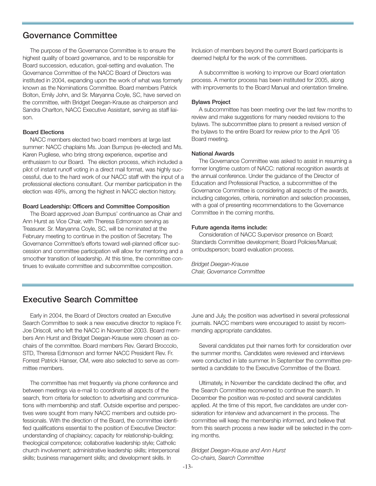## **Governance Committee**

The purpose of the Governance Committee is to ensure the highest quality of board governance, and to be responsible for Board succession, education, goal-setting and evaluation. The Governance Committee of the NACC Board of Directors was instituted in 2004, expanding upon the work of what was formerly known as the Nominations Committee. Board members Patrick Bolton, Emily John, and Sr. Maryanna Coyle, SC, have served on the committee, with Bridget Deegan-Krause as chairperson and Sandra Charlton, NACC Executive Assistant, serving as staff liaison.

#### **Board Elections**

NACC members elected two board members at large last summer: NACC chaplains Ms. Joan Bumpus (re-elected) and Ms. Karen Pugliese, who bring strong experience, expertise and enthusiasm to our Board. The election process, which included a pilot of instant runoff voting in a direct mail format, was highly successful, due to the hard work of our NACC staff with the input of a professional elections consultant. Our member participation in the election was 49%, among the highest in NACC election history.

#### **Board Leadership: Officers and Committee Composition**

The Board approved Joan Bumpus' continuance as Chair and Ann Hurst as Vice Chair, with Theresa Edmonson serving as Treasurer. Sr. Maryanna Coyle, SC, will be nominated at the February meeting to continue in the position of Secretary. The Governance Committee's efforts toward well-planned officer succession and committee participation will allow for mentoring and a smoother transition of leadership. At this time, the committee continues to evaluate committee and subcommittee composition.

Inclusion of members beyond the current Board participants is deemed helpful for the work of the committees.

A subcommittee is working to improve our Board orientation process. A mentor process has been instituted for 2005, along with improvements to the Board Manual and orientation timeline.

#### **Bylaws Project**

A subcommittee has been meeting over the last few months to review and make suggestions for many needed revisions to the bylaws. The subcommittee plans to present a revised version of the bylaws to the entire Board for review prior to the April '05 Board meeting.

#### **National Awards**

The Governance Committee was asked to assist in resuming a former longtime custom of NACC: national recognition awards at the annual conference. Under the guidance of the Director of Education and Professional Practice, a subcommittee of the Governance Committee is considering all aspects of the awards, including categories, criteria, nomination and selection processes, with a goal of presenting recommendations to the Governance Committee in the coming months.

#### **Future agenda items include:**

Consideration of NACC Supervisor presence on Board; Standards Committee development; Board Policies/Manual; ombudsperson; board evaluation process.

*Bridget Deegan-Krause Chair, Governance Committee*

## **Executive Search Committee**

Early in 2004, the Board of Directors created an Executive Search Committee to seek a new executive director to replace Fr. Joe Driscoll, who left the NACC in November 2003. Board members Ann Hurst and Bridget Deegan-Krause were chosen as cochairs of the committee. Board members Rev. Gerard Broccolo, STD, Theresa Edmonson and former NACC President Rev. Fr. Forrest Patrick Hanser, CM, were also selected to serve as committee members.

The committee has met frequently via phone conference and between meetings via e-mail to coordinate all aspects of the search, from criteria for selection to advertising and communications with membership and staff. Outside expertise and perspectives were sought from many NACC members and outside professionals. With the direction of the Board, the committee identified qualifications essential to the position of Executive Director: understanding of chaplaincy; capacity for relationship-building; theological competence; collaborative leadership style; Catholic church involvement; administrative leadership skills; interpersonal skills; business management skills; and development skills. In

June and July, the position was advertised in several professional journals. NACC members were encouraged to assist by recommending appropriate candidates.

Several candidates put their names forth for consideration over the summer months. Candidates were reviewed and interviews were conducted in late summer. In September the committee presented a candidate to the Executive Committee of the Board.

Ultimately, in November the candidate declined the offer, and the Search Committee reconvened to continue the search. In December the position was re-posted and several candidates applied. At the time of this report, five candidates are under consideration for interview and advancement in the process. The committee will keep the membership informed, and believe that from this search process a new leader will be selected in the coming months.

*Bridget Deegan-Krause and Ann Hurst Co-chairs, Search Committee*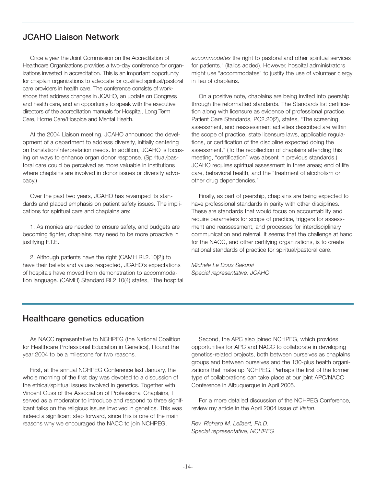## **JCAHO Liaison Network**

Once a year the Joint Commission on the Accreditation of Healthcare Organizations provides a two-day conference for organizations invested in accreditation. This is an important opportunity for chaplain organizations to advocate for qualified spiritual/pastoral care providers in health care. The conference consists of workshops that address changes in JCAHO, an update on Congress and health care, and an opportunity to speak with the executive directors of the accreditation manuals for Hospital, Long Term Care, Home Care/Hospice and Mental Health.

At the 2004 Liaison meeting, JCAHO announced the development of a department to address diversity, initially centering on translation/interpretation needs. In addition, JCAHO is focusing on ways to enhance organ donor response. (Spiritual/pastoral care could be perceived as more valuable in institutions where chaplains are involved in donor issues or diversity advocacy.)

Over the past two years, JCAHO has revamped its standards and placed emphasis on patient safety issues. The implications for spiritual care and chaplains are:

1. As monies are needed to ensure safety, and budgets are becoming tighter, chaplains may need to be more proactive in justifying F.T.E.

2. Although patients have the right (CAMH RI.2.10[2]) to have their beliefs and values respected, JCAHO's expectations of hospitals have moved from demonstration to accommodation language. (CAMH) Standard RI.2.10(4) states, "The hospital *accommodates* the right to pastoral and other spiritual services for patients." (italics added). However, hospital administrators might use "accommodates" to justify the use of volunteer clergy in lieu of chaplains.

On a positive note, chaplains are being invited into peership through the reformatted standards. The Standards list certification along with licensure as evidence of professional practice. Patient Care Standards, PC2.20(2), states, "The screening, assessment, and reassessment activities described are within the scope of practice, state licensure laws, applicable regulations, or certification of the discipline expected doing the assessment." (To the recollection of chaplains attending this meeting, "certification" was absent in previous standards.) JCAHO requires spiritual assessment in three areas; end of life care, behavioral health, and the "treatment of alcoholism or other drug dependencies."

Finally, as part of peership, chaplains are being expected to have professional standards in parity with other disciplines. These are standards that would focus on accountability and require parameters for scope of practice, triggers for assessment and reassessment, and processes for interdisciplinary communication and referral. It seems that the challenge at hand for the NACC, and other certifying organizations, is to create national standards of practice for spiritual/pastoral care.

*Michele Le Doux Sakurai Special representative, JCAHO*

## **Healthcare genetics education**

As NACC representative to NCHPEG (the National Coalition for Healthcare Professional Education in Genetics), I found the year 2004 to be a milestone for two reasons.

First, at the annual NCHPEG Conference last January, the whole morning of the first day was devoted to a discussion of the ethical/spiritual issues involved in genetics. Together with Vincent Guss of the Association of Professional Chaplains, I served as a moderator to introduce and respond to three significant talks on the religious issues involved in genetics. This was indeed a significant step forward, since this is one of the main reasons why we encouraged the NACC to join NCHPEG.

Second, the APC also joined NCHPEG, which provides opportunities for APC and NACC to collaborate in developing genetics-related projects, both between ourselves as chaplains groups and between ourselves and the 130-plus health organizations that make up NCHPEG. Perhaps the first of the former type of collaborations can take place at our joint APC/NACC Conference in Albuquerque in April 2005.

For a more detailed discussion of the NCHPEG Conference, review my article in the April 2004 issue of *Vision*.

*Rev. Richard M. Leliaert, Ph.D. Special representative, NCHPEG*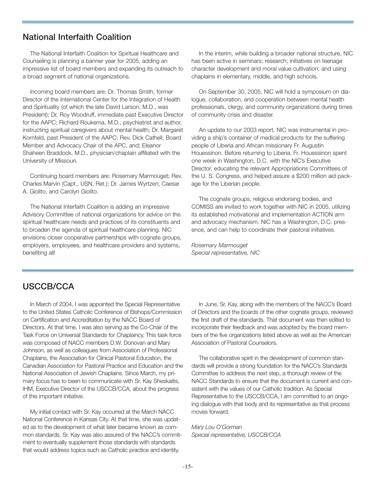## **National Interfaith Coalition**

The National Interfaith Coalition for Spiritual Healthcare and Counseling is planning a banner year for 2005, adding an impressive list of board members and expanding its outreach to a broad segment of national organizations.

Incoming board members are: Dr. Thomas Smith, former Director of the International Center for the Integration of Health and Spirituality (of which the late David Larson, M.D., was President); Dr. Roy Woodruff, immediate past Executive Director for the AAPC; Richard Roukema, M.D., psychiatrist and author, instructing spiritual caregivers about mental health; Dr. Margaret Kornfeld, past President of the AAPC; Rev. Dick Cathell, Board Member and Advocacy Chair of the APC, and; Eleanor Shaheen Braddock, M.D., physician/chaplain affiliated with the University of Missouri.

Continuing board members are: Rosemary Marmouget; Rev. Charles Marvin (Capt., USN, Ret.); Dr. James Wyrtzen; Caesar A. Giolito, and Carolyn Giolito.

The National Interfaith Coalition is adding an impressive Advisory Committee of national organizations for advice on the spiritual healthcare needs and practices of its constituents and to broaden the agenda of spiritual healthcare planning. NIC envisions closer cooperative partnerships with cognate groups, employers, employees, and healthcare providers and systems, benefiting all!

In the interim, while building a broader national structure, NIC has been active in seminars; research; initiatives on teenage character development and moral value cultivation; and using chaplains in elementary, middle, and high schools.

On September 30, 2005, NIC will hold a symposium on dialogue, collaboration, and cooperation between mental health professionals, clergy, and community organizations during times of community crisis and disaster.

An update to our 2003 report, NIC was instrumental in providing a ship's container of medical products for the suffering people of Liberia and African missionary Fr. Augustin Houessinon. Before returning to Liberia, Fr. Houessinon spent one week in Washington, D.C. with the NIC's Executive Director, educating the relevant Appropriations Committees of the U. S. Congress, and helped assure a \$200 million aid package for the Liberian people.

The cognate groups, religious endorsing bodies, and COMISS are invited to work together with NIC in 2005, utilizing its established motivational and implementation ACTION arm and advocacy mechanism. NIC has a Washington, D.C. presence, and can help to coordinate their pastoral initiatives.

*Rosemary Marmouget Special representative, NIC*

## **USCCB/CCA**

In March of 2004, I was appointed the Special Representative to the United States Catholic Conference of Bishops/Commission on Certification and Accreditation by the NACC Board of Directors. At that time, I was also serving as the Co-Chair of the Task Force on Universal Standards for Chaplaincy. This task force was composed of NACC members D.W. Donovan and Mary Johnson, as well as colleagues from Association of Professional Chaplains, the Association for Clinical Pastoral Education, the Canadian Association for Pastoral Practice and Education and the National Association of Jewish Chaplains. Since March, my primary focus has to been to communicate with Sr. Kay Sheskaitis, IHM, Executive Director of the USCCB/CCA, about the progress of this important initiative.

My initial contact with Sr. Kay occurred at the March NACC National Conference in Kansas City. At that time, she was updated as to the development of what later became known as common standards. Sr. Kay was also assured of the NACC's commitment to eventually supplement those standards with standards that would address topics such as Catholic practice and identity.

In June, Sr. Kay, along with the members of the NACC's Board of Directors and the boards of the other cognate groups, reviewed the first draft of the standards. That document was then edited to incorporate their feedback and was adopted by the board members of the five organizations listed above as well as the American Association of Pastoral Counselors.

The collaborative spirit in the development of common standards will provide a strong foundation for the NACC's Standards Committee to address the next step, a thorough review of the NACC Standards to ensure that the document is current and consistent with the values of our Catholic tradition. As Special Representative to the USCCB/CCA, I am committed to an ongoing dialogue with that body and its representative as that process moves forward.

*Mary Lou O'Gorman Special representative, USCCB/CCA*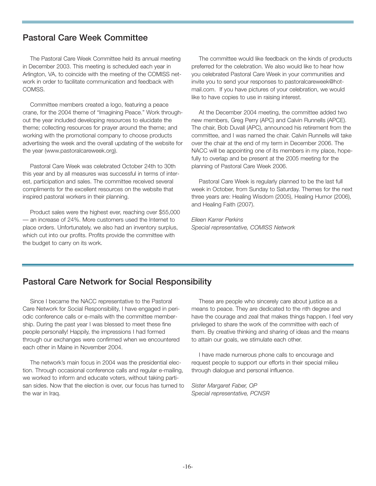## **Pastoral Care Week Committee**

The Pastoral Care Week Committee held its annual meeting in December 2003. This meeting is scheduled each year in Arlington, VA, to coincide with the meeting of the COMISS network in order to facilitate communication and feedback with COMSS.

Committee members created a logo, featuring a peace crane, for the 2004 theme of "Imagining Peace." Work throughout the year included developing resources to elucidate the theme; collecting resources for prayer around the theme; and working with the promotional company to choose products advertising the week and the overall updating of the website for the year (www.pastoralcareweek.org).

Pastoral Care Week was celebrated October 24th to 30th this year and by all measures was successful in terms of interest, participation and sales. The committee received several compliments for the excellent resources on the website that inspired pastoral workers in their planning.

Product sales were the highest ever, reaching over \$55,000 — an increase of 24%. More customers used the Internet to place orders. Unfortunately, we also had an inventory surplus, which cut into our profits. Profits provide the committee with the budget to carry on its work.

The committee would like feedback on the kinds of products preferred for the celebration. We also would like to hear how you celebrated Pastoral Care Week in your communities and invite you to send your responses to pastoralcareweek@hotmail.com. If you have pictures of your celebration, we would like to have copies to use in raising interest.

At the December 2004 meeting, the committee added two new members, Greg Perry (APC) and Calvin Runnells (APCE). The chair, Bob Duvall (APC), announced his retirement from the committee, and I was named the chair. Calvin Runnells will take over the chair at the end of my term in December 2006. The NACC will be appointing one of its members in my place, hopefully to overlap and be present at the 2005 meeting for the planning of Pastoral Care Week 2006.

Pastoral Care Week is regularly planned to be the last full week in October, from Sunday to Saturday. Themes for the next three years are: Healing Wisdom (2005), Healing Humor (2006), and Healing Faith (2007).

*Eileen Karrer Perkins Special representative, COMISS Network* 

## **Pastoral Care Network for Social Responsibility**

Since I became the NACC representative to the Pastoral Care Network for Social Responsibility, I have engaged in periodic conference calls or e-mails with the committee membership. During the past year I was blessed to meet these fine people personally! Happily, the impressions I had formed through our exchanges were confirmed when we encountered each other in Maine in November 2004.

The network's main focus in 2004 was the presidential election. Through occasional conference calls and regular e-mailing, we worked to inform and educate voters, without taking partisan sides. Now that the election is over, our focus has turned to the war in Iraq.

These are people who sincerely care about justice as a means to peace. They are dedicated to the nth degree and have the courage and zeal that makes things happen. I feel very privileged to share the work of the committee with each of them. By creative thinking and sharing of ideas and the means to attain our goals, we stimulate each other.

I have made numerous phone calls to encourage and request people to support our efforts in their special milieu through dialogue and personal influence.

*Sister Margaret Faber, OP Special representative, PCNSR*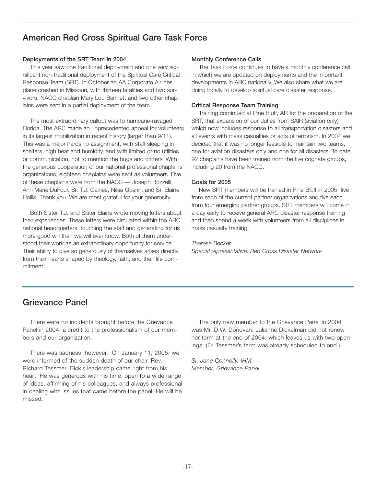## **American Red Cross Spiritual Care Task Force**

#### **Deployments of the SRT Team in 2004**

This year saw one traditional deployment and one very significant non-traditional deployment of the Spiritual Care Critical Response Team (SRT). In October an AA Corporate Airlines plane crashed in Missouri, with thirteen fatalities and two survivors. NACC chaplain Mary Lou Bennett and two other chaplains were sent in a partial deployment of the team.

The most extraordinary callout was to hurricane-ravaged Florida. The ARC made an unprecedented appeal for volunteers in its largest mobilization in recent history (larger than 9/11). This was a major hardship assignment, with staff sleeping in shelters, high heat and humidity, and with limited or no utilities or communication, not to mention the bugs and critters! With the generous cooperation of our national professional chaplains' organizations, eighteen chaplains were sent as volunteers. Five of these chaplains were from the NACC — Joseph Bozzelli, Ann Marie DuFour, Sr. T.J. Gaines, Nilsa Guerin, and Sr. Elaine Hollis. Thank you. We are most grateful for your generosity.

Both Sister T.J. and Sister Elaine wrote moving letters about their experiences. These letters were circulated within the ARC national headquarters, touching the staff and generating for us more good will than we will ever know. Both of them understood their work as an extraordinary opportunity for service. Their ability to give so generously of themselves arises directly from their hearts shaped by theology, faith, and their life commitment.

#### **Monthly Conference Calls**

The Task Force continues to have a monthly conference call in which we are updated on deployments and the important developments in ARC nationally. We also share what we are doing locally to develop spiritual care disaster response.

#### **Critical Response Team Training**

Training continued at Pine Bluff, AR for the preparation of the SRT, that expansion of our duties from SAIR (aviation only) which now includes response to all transportation disasters and all events with mass casualties or acts of terrorism. In 2004 we decided that it was no longer feasible to maintain two teams, one for aviation disasters only and one for all disasters. To date 92 chaplains have been trained from the five cognate groups, including 20 from the NACC.

#### **Goals for 2005**

New SRT members will be trained in Pine Bluff in 2005, five from each of the current partner organizations and five each from four emerging partner groups. SRT members will come in a day early to receive general ARC disaster response training and then spend a week with volunteers from all disciplines in mass casualty training.

#### *Therese Becker*

*Special representative, Red Cross Disaster Network*

## **Grievance Panel**

There were no incidents brought before the Grievance Panel in 2004, a credit to the professionalism of our members and our organization.

There was sadness, however. On January 11, 2005, we were informed of the sudden death of our chair, Rev. Richard Tessmer. Dick's leadership came right from his heart. He was generous with his time, open to a wide range of ideas, affirming of his colleagues, and always professional in dealing with issues that came before the panel. He will be missed.

The only new member to the Grievance Panel in 2004 was Mr. D.W. Donovan. Julianne Dickelman did not renew her term at the end of 2004, which leaves us with two openings. (Fr. Tessmer's term was already scheduled to end.)

*Sr. Jane Connolly, IHM Member, Grievance Panel*